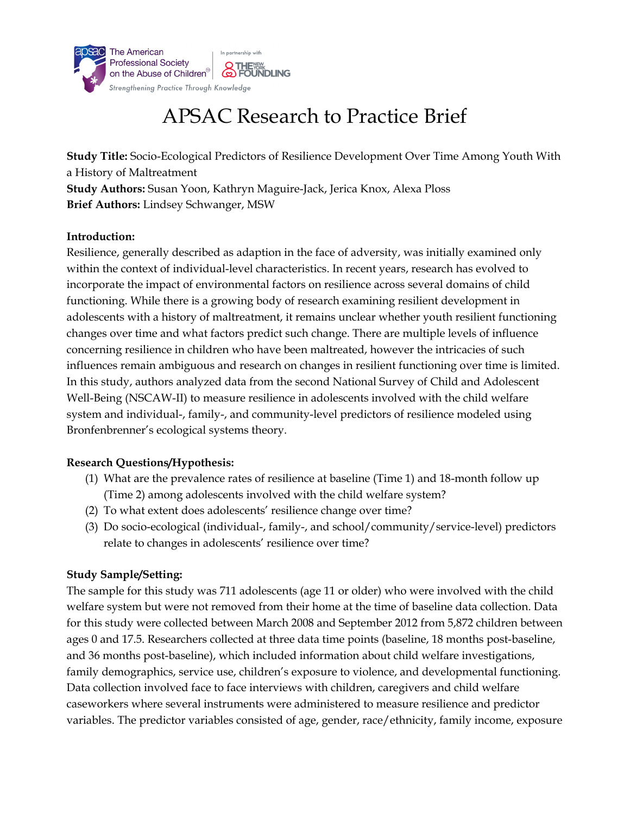

# APSAC Research to Practice Brief

**Study Title:** Socio-Ecological Predictors of Resilience Development Over Time Among Youth With a History of Maltreatment **Study Authors:** Susan Yoon, Kathryn Maguire-Jack, Jerica Knox, Alexa Ploss **Brief Authors:** Lindsey Schwanger, MSW

## **Introduction:**

Resilience, generally described as adaption in the face of adversity, was initially examined only within the context of individual-level characteristics. In recent years, research has evolved to incorporate the impact of environmental factors on resilience across several domains of child functioning. While there is a growing body of research examining resilient development in adolescents with a history of maltreatment, it remains unclear whether youth resilient functioning changes over time and what factors predict such change. There are multiple levels of influence concerning resilience in children who have been maltreated, however the intricacies of such influences remain ambiguous and research on changes in resilient functioning over time is limited. In this study, authors analyzed data from the second National Survey of Child and Adolescent Well-Being (NSCAW-II) to measure resilience in adolescents involved with the child welfare system and individual-, family-, and community-level predictors of resilience modeled using Bronfenbrenner's ecological systems theory.

#### **Research Questions/Hypothesis:**

- (1) What are the prevalence rates of resilience at baseline (Time 1) and 18-month follow up (Time 2) among adolescents involved with the child welfare system?
- (2) To what extent does adolescents' resilience change over time?
- (3) Do socio-ecological (individual-, family-, and school/community/service-level) predictors relate to changes in adolescents' resilience over time?

# **Study Sample/Setting:**

The sample for this study was 711 adolescents (age 11 or older) who were involved with the child welfare system but were not removed from their home at the time of baseline data collection. Data for this study were collected between March 2008 and September 2012 from 5,872 children between ages 0 and 17.5. Researchers collected at three data time points (baseline, 18 months post-baseline, and 36 months post-baseline), which included information about child welfare investigations, family demographics, service use, children's exposure to violence, and developmental functioning. Data collection involved face to face interviews with children, caregivers and child welfare caseworkers where several instruments were administered to measure resilience and predictor variables. The predictor variables consisted of age, gender, race/ethnicity, family income, exposure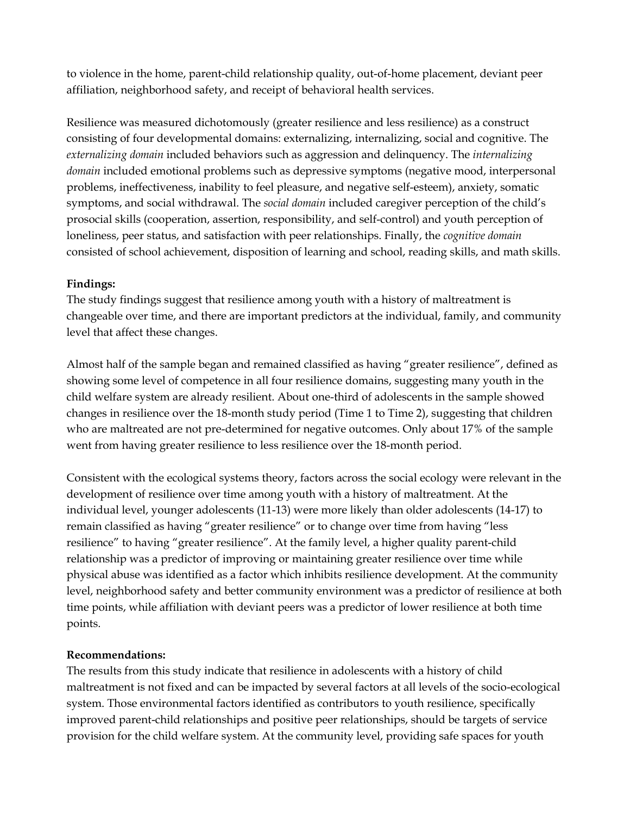to violence in the home, parent-child relationship quality, out-of-home placement, deviant peer affiliation, neighborhood safety, and receipt of behavioral health services.

Resilience was measured dichotomously (greater resilience and less resilience) as a construct consisting of four developmental domains: externalizing, internalizing, social and cognitive. The *externalizing domain* included behaviors such as aggression and delinquency. The *internalizing domain* included emotional problems such as depressive symptoms (negative mood, interpersonal problems, ineffectiveness, inability to feel pleasure, and negative self-esteem), anxiety, somatic symptoms, and social withdrawal. The *social domain* included caregiver perception of the child's prosocial skills (cooperation, assertion, responsibility, and self-control) and youth perception of loneliness, peer status, and satisfaction with peer relationships. Finally, the *cognitive domain* consisted of school achievement, disposition of learning and school, reading skills, and math skills.

#### **Findings:**

The study findings suggest that resilience among youth with a history of maltreatment is changeable over time, and there are important predictors at the individual, family, and community level that affect these changes.

Almost half of the sample began and remained classified as having "greater resilience", defined as showing some level of competence in all four resilience domains, suggesting many youth in the child welfare system are already resilient. About one-third of adolescents in the sample showed changes in resilience over the 18-month study period (Time 1 to Time 2), suggesting that children who are maltreated are not pre-determined for negative outcomes. Only about 17% of the sample went from having greater resilience to less resilience over the 18-month period.

Consistent with the ecological systems theory, factors across the social ecology were relevant in the development of resilience over time among youth with a history of maltreatment. At the individual level, younger adolescents (11-13) were more likely than older adolescents (14-17) to remain classified as having "greater resilience" or to change over time from having "less resilience" to having "greater resilience". At the family level, a higher quality parent-child relationship was a predictor of improving or maintaining greater resilience over time while physical abuse was identified as a factor which inhibits resilience development. At the community level, neighborhood safety and better community environment was a predictor of resilience at both time points, while affiliation with deviant peers was a predictor of lower resilience at both time points.

# **Recommendations:**

The results from this study indicate that resilience in adolescents with a history of child maltreatment is not fixed and can be impacted by several factors at all levels of the socio-ecological system. Those environmental factors identified as contributors to youth resilience, specifically improved parent-child relationships and positive peer relationships, should be targets of service provision for the child welfare system. At the community level, providing safe spaces for youth